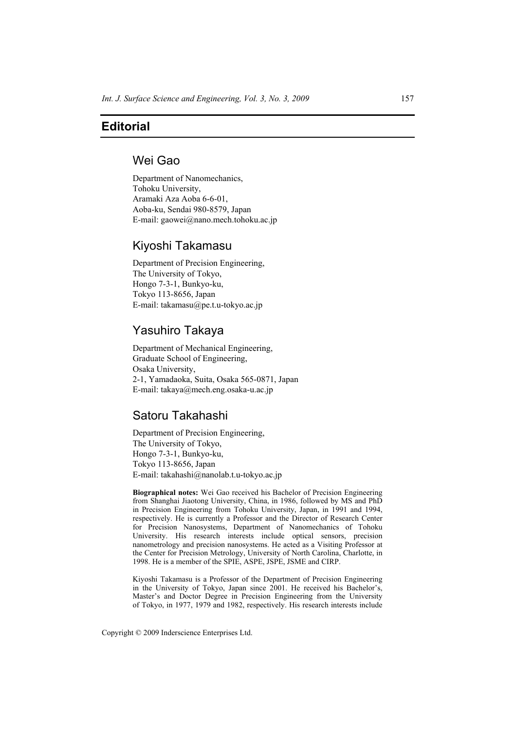# **Editorial**

### Wei Gao

Department of Nanomechanics, Tohoku University, Aramaki Aza Aoba 6-6-01, Aoba-ku, Sendai 980-8579, Japan E-mail: gaowei@nano.mech.tohoku.ac.jp

# Kiyoshi Takamasu

Department of Precision Engineering, The University of Tokyo, Hongo 7-3-1, Bunkyo-ku, Tokyo 113-8656, Japan E-mail: takamasu@pe.t.u-tokyo.ac.jp

### Yasuhiro Takaya

Department of Mechanical Engineering, Graduate School of Engineering, Osaka University, 2-1, Yamadaoka, Suita, Osaka 565-0871, Japan E-mail: takaya@mech.eng.osaka-u.ac.jp

# Satoru Takahashi

Department of Precision Engineering, The University of Tokyo, Hongo 7-3-1, Bunkyo-ku, Tokyo 113-8656, Japan E-mail: takahashi@nanolab.t.u-tokyo.ac.jp

**Biographical notes:** Wei Gao received his Bachelor of Precision Engineering from Shanghai Jiaotong University, China, in 1986, followed by MS and PhD in Precision Engineering from Tohoku University, Japan, in 1991 and 1994, respectively. He is currently a Professor and the Director of Research Center for Precision Nanosystems, Department of Nanomechanics of Tohoku University. His research interests include optical sensors, precision nanometrology and precision nanosystems. He acted as a Visiting Professor at the Center for Precision Metrology, University of North Carolina, Charlotte, in 1998. He is a member of the SPIE, ASPE, JSPE, JSME and CIRP.

Kiyoshi Takamasu is a Professor of the Department of Precision Engineering in the University of Tokyo, Japan since 2001. He received his Bachelor's, Master's and Doctor Degree in Precision Engineering from the University of Tokyo, in 1977, 1979 and 1982, respectively. His research interests include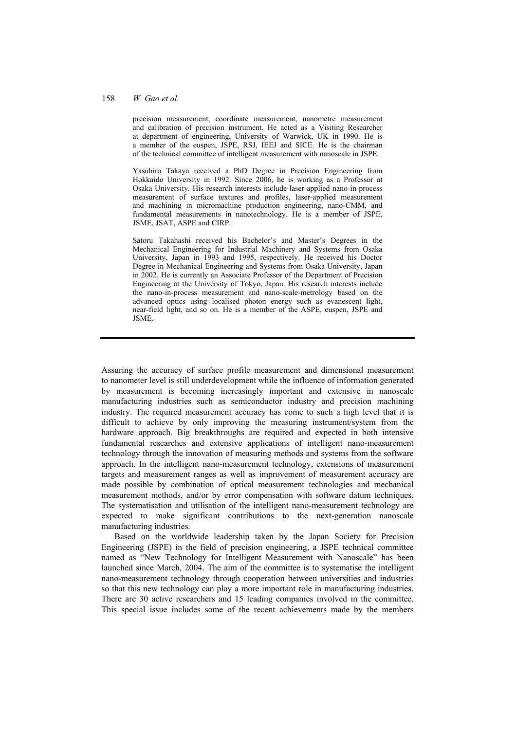#### 158 *W. Gao et al.*

precision measurement, coordinate measurement, nanometre measurement and calibration of precision instrument. He acted as a Visiting Researcher at department of engineering, University of Warwick, UK in 1990. He is a member of the euspen, JSPE, RSJ, IEEJ and SICE. He is the chairman of the technical committee of intelligent measurement with nanoscale in JSPE.

Yasuhiro Takaya received a PhD Degree in Precision Engineering from Hokkaido University in 1992. Since 2006, he is working as a Professor at Osaka University. His research interests include laser-applied nano-in-process measurement of surface textures and profiles, laser-applied measurement and machining in micromachine production engineering, nano-CMM, and fundamental measurements in nanotechnology. He is a member of JSPE, JSME, JSAT, ASPE and CIRP.

Satoru Takahashi received his Bachelor's and Master's Degrees in the Mechanical Engineering for Industrial Machinery and Systems from Osaka University, Japan in 1993 and 1995, respectively. He received his Doctor Degree in Mechanical Engineering and Systems from Osaka University, Japan in 2002. He is currently an Associate Professor of the Department of Precision Engineering at the University of Tokyo, Japan. His research interests include the nano-in-process measurement and nano-scale-metrology based on the advanced optics using localised photon energy such as evanescent light, near-field light, and so on. He is a member of the ASPE, euspen, JSPE and JSME.

Assuring the accuracy of surface profile measurement and dimensional measurement to nanometer level is still underdevelopment while the influence of information generated by measurement is becoming increasingly important and extensive in nanoscale manufacturing industries such as semiconductor industry and precision machining industry. The required measurement accuracy has come to such a high level that it is difficult to achieve by only improving the measuring instrument/system from the hardware approach. Big breakthroughs are required and expected in both intensive fundamental researches and extensive applications of intelligent nano-measurement technology through the innovation of measuring methods and systems from the software approach. In the intelligent nano-measurement technology, extensions of measurement targets and measurement ranges as well as improvement of measurement accuracy are made possible by combination of optical measurement technologies and mechanical measurement methods, and/or by error compensation with software datum techniques. The systematisation and utilisation of the intelligent nano-measurement technology are expected to make significant contributions to the next-generation nanoscale manufacturing industries.

Based on the worldwide leadership taken by the Japan Society for Precision Engineering (JSPE) in the field of precision engineering, a JSPE technical committee named as "New Technology for Intelligent Measurement with Nanoscale" has been launched since March, 2004. The aim of the committee is to systematise the intelligent nano-measurement technology through cooperation between universities and industries so that this new technology can play a more important role in manufacturing industries. There are 30 active researchers and 15 leading companies involved in the committee. This special issue includes some of the recent achievements made by the members